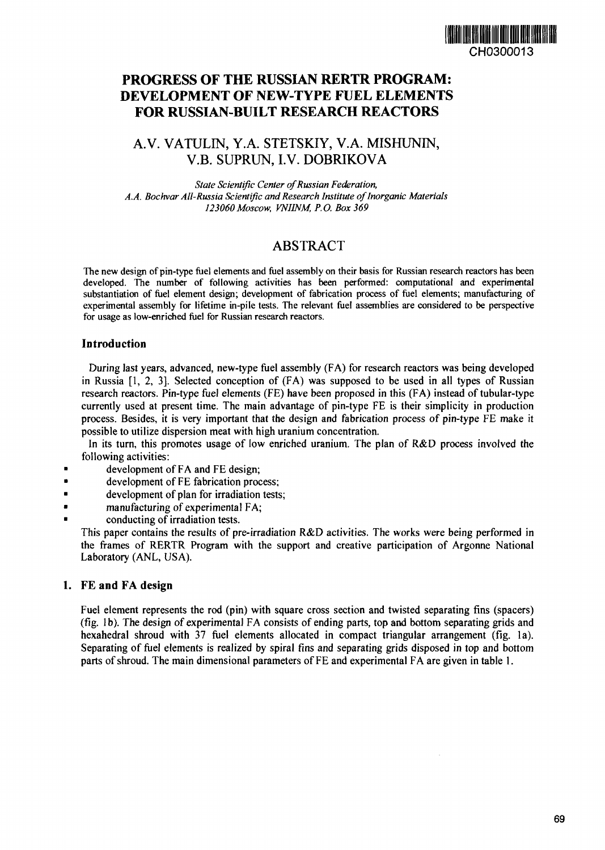# CH0300013

# **PROGRESS OF THE RUSSIAN RERTR PROGRAM: DEVELOPMENT OF NEW-TYPE FUEL ELEMENTS FOR RUSSIAN-BUILT RESEARCH REACTORS**

## A.V. VATULIN, Y.A. STETSKIY, V.A. MISHUNIN, V.B. SUPRUN, I.V. DOBRJKOVA

*State Scientific Center of Russian Federation,* A.A. Bochvar All-Russia Scientific and Research Institute of Inorganic Materials *123060 Moscow, VNIINM, P.O. Box 369*

## ABSTRACT

The new design of pin-type fuel elements and fuel assembly on their basis for Russian research reactors has been developed. The number of following activities has been performed: computational and experimental substantiation of fuel element design; development of fabrication process of **ftiel** elements; manufacturing of experimental assembly for lifetime in-pile tests. The relevant fuel assemblies are considered to be perspective for usage as low-enriched fuel for Russian research reactors.

### **Introduction**

During last years, advanced, new-type fuel assembly (FA) for research reactors was being developed in Russia  $[1, 2, 3]$ . Selected conception of  $(FA)$  was supposed to be used in all types of Russian research reactors. Pin-type fuel elements (FE) have been proposed in this (FA) instead of tubular-type currently used at present time. The main advantage of pin-type FE is their simplicity in production process. Besides, it is very important that the design and fabrication process of pin-type FE make it possible to utilize dispersion meat with high uranium concentration.

In its turn, this promotes usage of low enriched uranium. The plan of R&D process involved the following activities:

- **a** development of FA and FE design;
- **•** development of FE fabrication process;
- $\bullet$  development of plan for irradiation tests;
- $\blacksquare$  manufacturing of experimental FA;
- conducting of irradiation tests.

This paper contains the results of pre-irradiation R&D activities. The works were being performed in the frames of RERTR Program with the support and creative participation of Argonne National Laboratory (ANL, USA).

#### 1. FE **and** FA **design**

Fuel element represents the rod (pin) with square cross section and twisted separating fins (spacers) (fig. 1b). The design of experimental FA consists of ending parts, top and bottom separating grids and hexahedral shroud with 37 fuel elements allocated in compact triangular arrangement (fig. la). Separating of fuel elements is realized by spiral fins and separating grids disposed in top and bottom parts of shroud. The main dimensional parameters of FE and experimental FA are given in table 1.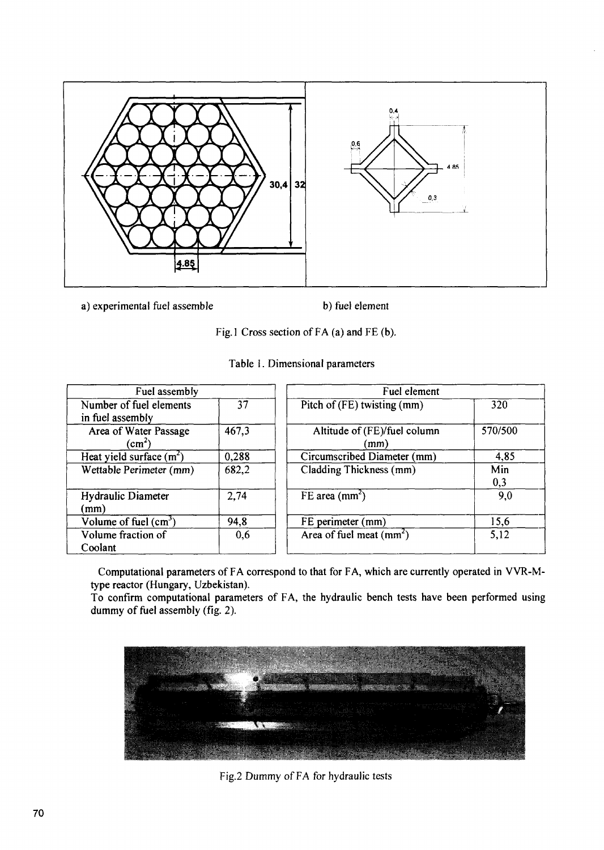

a) experimental fuel assemble b) fuel element

Fig. I Cross section of FA (a) and FE (b).

| Fuel assembly                               |       | Fuel element                         |            |
|---------------------------------------------|-------|--------------------------------------|------------|
| Number of fuel elements<br>in fuel assembly | 37    | Pitch of $(FE)$ twisting $(mm)$      | 320        |
| Area of Water Passage<br>$\rm (cm^2)$       | 467,3 | Altitude of (FE)/fuel column<br>(mm) | 570/500    |
| Heat yield surface $(m2)$                   | 0,288 | Circumscribed Diameter (mm)          | 4,85       |
| Wettable Perimeter (mm)                     | 682,2 | Cladding Thickness (mm)              | Min<br>0,3 |
| Hydraulic Diameter<br>(mm)                  | 2,74  | $FE$ area (mm <sup>2</sup> )         | 9,0        |
| Volume of fuel $(cm3)$                      | 94,8  | FE perimeter (mm)                    | 15,6       |
| Volume fraction of<br>Coolant               | 0,6   | Area of fuel meat $(mm^2)$           | 5,12       |

Table 1. Dimensional parameters

Computational parameters of FA correspond to that for FA, which are currently operated in VVR-Nltype reactor (Hungary, Uzbekistan).

To confirm computational parameters of FA, the hydraulic bench tests have been performed using dummy of fuel assembly (fig. 2).



Fig.2 Dummy of FA for hydraulic tests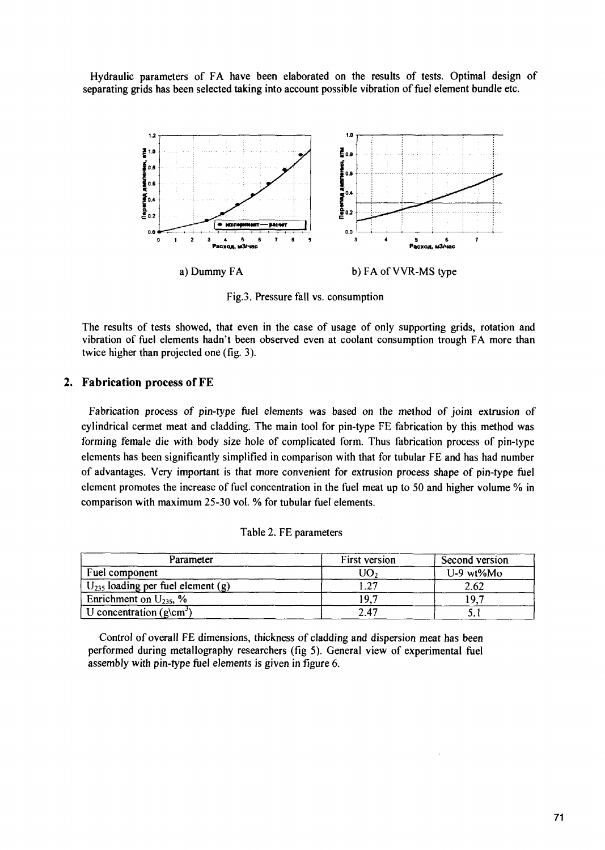Hydraulic parameters of FA have been elaborated on the results of tests. Optimal design of separating grids has been selected taking into account possible vibration of fuel element bundle etc.



Fig.3. Pressure fall vs. consumption

The results of tests showed, that even in the case of usage of only supporting grids, rotation and vibration of fuel elements hadn't been observed even at coolant consumption trough FA more than twice higher than projected one (fig. 3).

#### **2. Fabrication process of** FE

Fabrication process of pin-type fuel elements was based on the method of joint extrusion of cylindrical cermet meat and cladding. The main tool for pin-type FE fabrication by this method was forming female die with body size hole of complicated form. Thus fabrication process of pin-type elements has been significantly simplified in comparison with that for tubular FE and has had number of advantages. Very important is that more convenient for extrusion process shape of pin-type fuel element promotes the increase of fuel concentration in the fuel meat up to 50 and higher volume % in comparison with maximum 25-30 vol. % for tubular fuel elements.

|  |  |  | Table 2. FE parameters |
|--|--|--|------------------------|
|--|--|--|------------------------|

| Parameter                                    | First version | Second version |  |
|----------------------------------------------|---------------|----------------|--|
| Fuel component                               | UO,           | $U-9$ wt% $M0$ |  |
| $U_{235}$ loading per fuel element (g)       | າາ            | 2.62           |  |
| Enrichment on $U_{235}$ , %                  | 197           | $\Omega$       |  |
| $\vert$ U concentration (g\cm <sup>3</sup> ) | 2.47          |                |  |

Control of overall FE dimensions, thickness of cladding and dispersion meat has been performed during metallography researchers (fig 5). General view of experimental fuel assembly with pin-type fuel elements is given in figure 6.